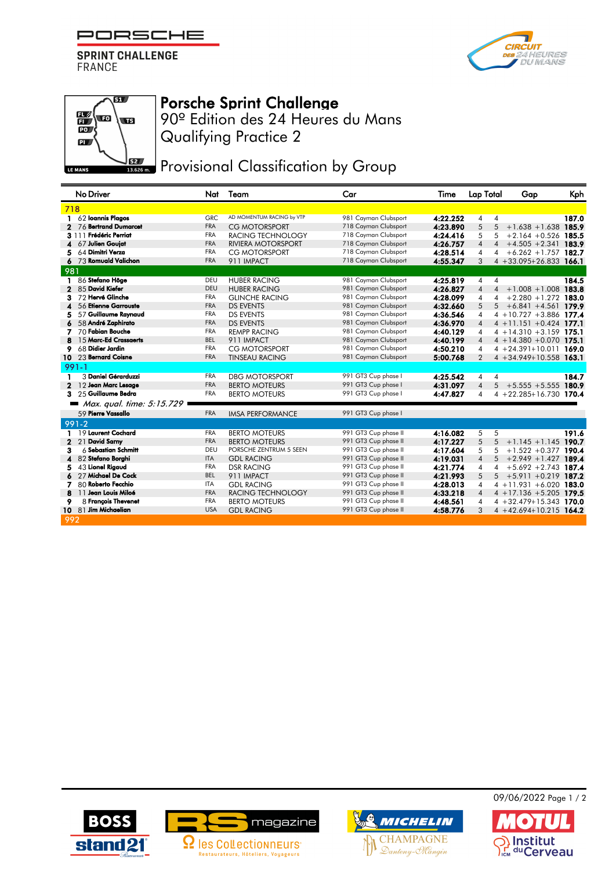PORSCHE

**SPRINT CHALLENGE FRANCE** 





## Porsche Sprint Challenge

Qualifying Practice 2 90º Edition des 24 Heures du Mans

**JEZ** Provisional Classification by Group

|              | No Driver                 | Nat        | Team                      | Car                  | Time     | Lap Total      | Gap                                                | Kph   |
|--------------|---------------------------|------------|---------------------------|----------------------|----------|----------------|----------------------------------------------------|-------|
| 718          |                           |            |                           |                      |          |                |                                                    |       |
|              | 62 Ioannis Plagos         | <b>GRC</b> | AD MOMENTUM RACING by VTP | 981 Cayman Clubsport | 4:22.252 | 4              | 4                                                  | 187.0 |
|              | 76 Bertrand Dumarcet      | <b>FRA</b> | <b>CG MOTORSPORT</b>      | 718 Cayman Clubsport | 4:23.890 | 5              | 5<br>$+1.638 + 1.638$ 185.9                        |       |
|              | 3 111 Frédéric Perriat    | <b>FRA</b> | RACING TECHNOLOGY         | 718 Cayman Clubsport | 4:24.416 | 5              | $+2.164 + 0.526$ 185.5<br>5                        |       |
| 4            | 67 Julien Goujat          | <b>FRA</b> | RIVIERA MOTORSPORT        | 718 Cayman Clubsport | 4:26.757 | 4              | $+4.505 + 2.341$ 183.9<br>$\overline{\mathcal{A}}$ |       |
| 5            | 64 Dimitri Verza          | <b>FRA</b> | <b>CG MOTORSPORT</b>      | 718 Cayman Clubsport | 4:28.514 | 4              | $+6.262 + 1.757$ 182.7<br>4                        |       |
|              | 73 Romuald Valichon       | <b>FRA</b> | 911 IMPACT                | 718 Cayman Clubsport | 4:55.347 | 3              | $4 + 33.095 + 26.833$ 166.1                        |       |
| 981          |                           |            |                           |                      |          |                |                                                    |       |
|              | 86 Stefano Höge           | DEU        | <b>HUBER RACING</b>       | 981 Cayman Clubsport | 4:25.819 | 4              | $\overline{4}$                                     | 184.5 |
| $\mathbf{2}$ | 85 David Kiefer           | <b>DEU</b> | <b>HUBER RACING</b>       | 981 Cayman Clubsport | 4:26.827 | $\overline{4}$ | $+1.008 + 1.008$ 183.8<br>$\overline{4}$           |       |
| 3            | 72 Hervé Glinche          | <b>FRA</b> | <b>GLINCHE RACING</b>     | 981 Cayman Clubsport | 4:28.099 | 4              | $+2.280 + 1.272$ 183.0<br>4                        |       |
|              | 56 Etienne Garrouste      | <b>FRA</b> | <b>DS EVENTS</b>          | 981 Cayman Clubsport | 4:32.660 | 5              | 5<br>$+6.841 + 4.561$ 179.9                        |       |
| 5            | 57 Guillaume Raynaud      | <b>FRA</b> | <b>DS EVENTS</b>          | 981 Cayman Clubsport | 4:36.546 | 4              | $4 + 10.727 + 3.886$ 177.4                         |       |
|              | 58 André Zaphirato        | <b>FRA</b> | <b>DS EVENTS</b>          | 981 Cayman Clubsport | 4:36.970 | 4              | $4 + 11.151 + 0.424$ 177.1                         |       |
| 7            | 70 Fabian Bouche          | <b>FRA</b> | <b>REMPP RACING</b>       | 981 Cayman Clubsport | 4:40.129 | 4              | $4 + 14.310 + 3.159$ 175.1                         |       |
|              | 15 Marc-Ed Crassaerts     | <b>BEL</b> | 911 IMPACT                | 981 Cayman Clubsport | 4:40.199 | $\overline{4}$ | $4 + 14.380 + 0.070$ 175.1                         |       |
| 9            | 68 Didier Jardin          | FRA        | CG MOTORSPORT             | 981 Cayman Clubsport | 4:50.210 | 4              | $4 + 24.391 + 10.011$ 169.0                        |       |
| 10           | 23 Bernard Coisne         | <b>FRA</b> | <b>TINSEAU RACING</b>     | 981 Cayman Clubsport | 5:00.768 | $\mathcal{P}$  | $4 + 34.949 + 10.558$ 163.1                        |       |
|              | $991 - 1$                 |            |                           |                      |          |                |                                                    |       |
|              | 3 Daniel Gérarduzzi       | <b>FRA</b> | <b>DBG MOTORSPORT</b>     | 991 GT3 Cup phase I  | 4:25.542 | 4              | 4                                                  | 184.7 |
| $\mathbf{2}$ | 12 Jean Marc Lesage       | <b>FRA</b> | <b>BERTO MOTEURS</b>      | 991 GT3 Cup phase I  | 4:31.097 | $\overline{4}$ | 5<br>$+5.555 + 5.555$ 180.9                        |       |
| 3            | 25 Guillaume Bedra        | <b>FRA</b> | <b>BERTO MOTEURS</b>      | 991 GT3 Cup phase I  | 4:47.827 | 4              | $4 + 22.285 + 16.730$ 170.4                        |       |
|              | Max. qual. time: 5:15.729 |            |                           |                      |          |                |                                                    |       |
|              | 59 Pierre Vassallo        | <b>FRA</b> | <b>IMSA PERFORMANCE</b>   | 991 GT3 Cup phase I  |          |                |                                                    |       |
|              | $991 - 2$                 |            |                           |                      |          |                |                                                    |       |
|              | 19 Laurent Cochard        | <b>FRA</b> | <b>BERTO MOTEURS</b>      | 991 GT3 Cup phase II | 4:16.082 | 5              | 5                                                  | 191.6 |
| $\mathbf{2}$ | 21 David Samy             | <b>FRA</b> | <b>BERTO MOTEURS</b>      | 991 GT3 Cup phase II | 4:17.227 | 5              | 5<br>$+1.145 + 1.145$ 190.7                        |       |
| з            | 6 Sebastian Schmitt       | DEU        | PORSCHE ZENTRUM 5 SEEN    | 991 GT3 Cup phase II | 4:17.604 | 5              | $+1.522 + 0.377$ 190.4<br>5                        |       |
|              | 82 Stefano Borghi         | <b>ITA</b> | <b>GDL RACING</b>         | 991 GT3 Cup phase II | 4:19.031 | $\overline{4}$ | $+2.949 + 1.427$ 189.4<br>5                        |       |
| 5            | 43 Lionel Rigaud          | FRA        | <b>DSR RACING</b>         | 991 GT3 Cup phase II | 4:21.774 | 4              | $+5.692 + 2.743$ 187.4<br>4                        |       |
|              | 27 Michael De Cock        | <b>BEL</b> | 911 IMPACT                | 991 GT3 Cup phase II | 4:21.993 | 5              | $+5.911 + 0.219$ 187.2<br>5                        |       |
|              | 80 Roberto Fecchio        | <b>ITA</b> | <b>GDL RACING</b>         | 991 GT3 Cup phase II | 4:28.013 | 4              | $4 + 11.931 + 6.020$ 183.0                         |       |
| 8            | 11 Jean Louis Miloé       | <b>FRA</b> | RACING TECHNOLOGY         | 991 GT3 Cup phase II | 4:33.218 | $\overline{4}$ | $4 + 17.136 + 5.205$ 179.5                         |       |
| 9            | 8 Francois Thevenet       | <b>FRA</b> | <b>BERTO MOTEURS</b>      | 991 GT3 Cup phase II | 4:48.561 | 4              | $4 + 32.479 + 15.343$ 170.0                        |       |
| 10           | 81 Jim Michaelian         | <b>USA</b> | <b>GDL RACING</b>         | 991 GT3 Cup phase II | 4:58.776 | 3              | $4 + 42.694 + 10.215$ 164.2                        |       |
| 992          |                           |            |                           |                      |          |                |                                                    |       |